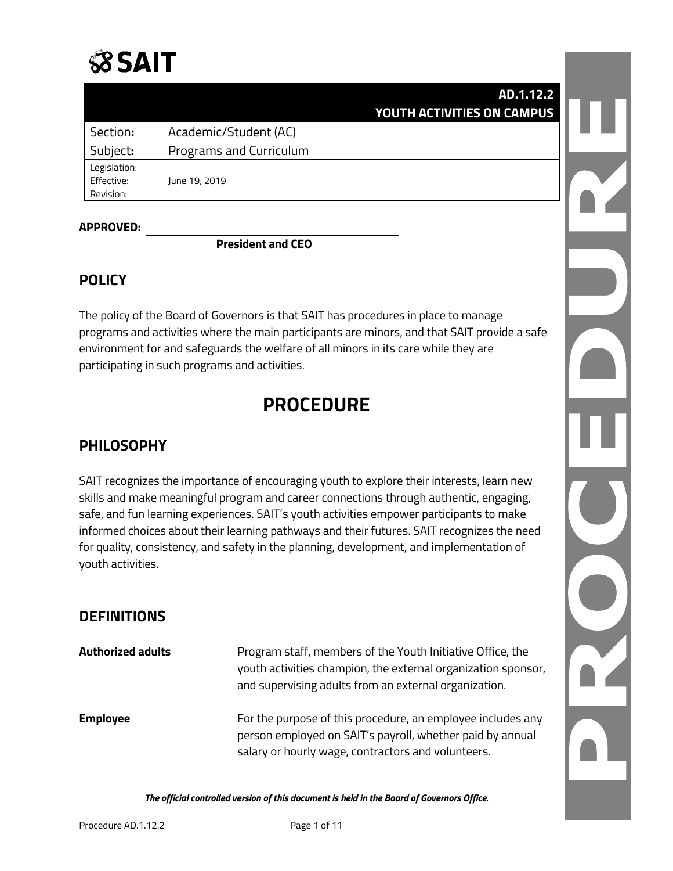|                                         |                         | AD.1.12.2<br>YOUTH ACTIVITIES ON CAMPUS |  |
|-----------------------------------------|-------------------------|-----------------------------------------|--|
| Section:                                | Academic/Student (AC)   |                                         |  |
| Subject:                                | Programs and Curriculum |                                         |  |
| Legislation:<br>Effective:<br>Revision: | June 19, 2019           |                                         |  |
|                                         |                         |                                         |  |

#### **APPROVED:**

**President and CEO**

### **POLICY**

The policy of the Board of Governors is that SAIT has procedures in place to manage programs and activities where the main participants are minors, and that SAIT provide a safe environment for and safeguards the welfare of all minors in its care while they are participating in such programs and activities.

# **PROCEDURE**

## **PHILOSOPHY**

SAIT recognizes the importance of encouraging youth to explore their interests, learn new skills and make meaningful program and career connections through authentic, engaging, safe, and fun learning experiences. SAIT's youth activities empower participants to make informed choices about their learning pathways and their futures. SAIT recognizes the need for quality, consistency, and safety in the planning, development, and implementation of youth activities.

### **DEFINITIONS**

| <b>Authorized adults</b> | Program staff, members of the Youth Initiative Office, the<br>youth activities champion, the external organization sponsor,<br>and supervising adults from an external organization. |
|--------------------------|--------------------------------------------------------------------------------------------------------------------------------------------------------------------------------------|
| <b>Employee</b>          | For the purpose of this procedure, an employee includes any<br>person employed on SAIT's payroll, whether paid by annual<br>salary or hourly wage, contractors and volunteers.       |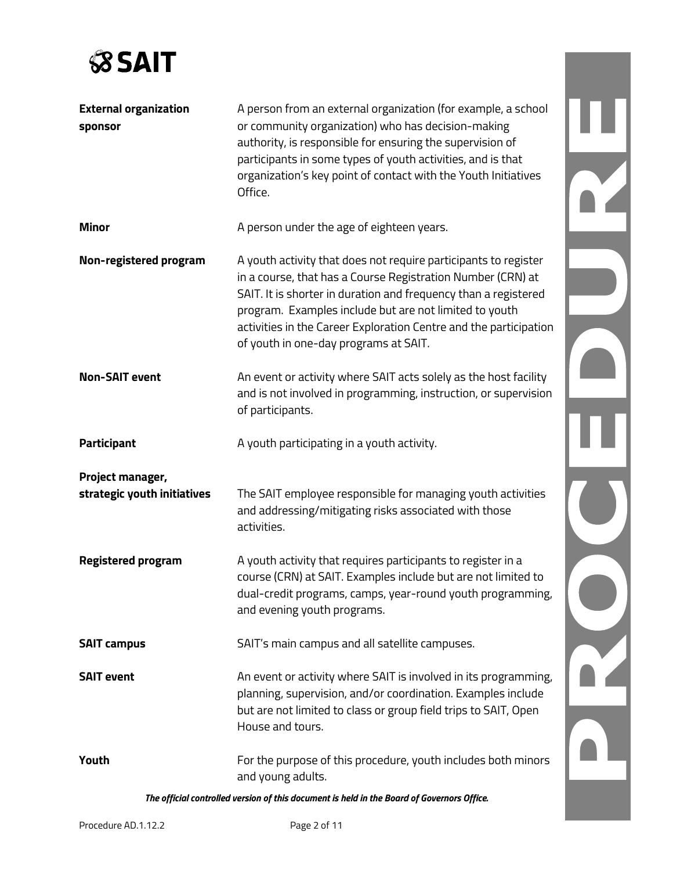

| <b>External organization</b><br>sponsor         | A person from an external organization (for example, a school<br>or community organization) who has decision-making<br>authority, is responsible for ensuring the supervision of<br>participants in some types of youth activities, and is that<br>organization's key point of contact with the Youth Initiatives<br>Office.                                              |  |
|-------------------------------------------------|---------------------------------------------------------------------------------------------------------------------------------------------------------------------------------------------------------------------------------------------------------------------------------------------------------------------------------------------------------------------------|--|
| <b>Minor</b>                                    | A person under the age of eighteen years.                                                                                                                                                                                                                                                                                                                                 |  |
| Non-registered program                          | A youth activity that does not require participants to register<br>in a course, that has a Course Registration Number (CRN) at<br>SAIT. It is shorter in duration and frequency than a registered<br>program. Examples include but are not limited to youth<br>activities in the Career Exploration Centre and the participation<br>of youth in one-day programs at SAIT. |  |
| <b>Non-SAIT event</b>                           | An event or activity where SAIT acts solely as the host facility<br>and is not involved in programming, instruction, or supervision<br>of participants.                                                                                                                                                                                                                   |  |
| Participant                                     | A youth participating in a youth activity.                                                                                                                                                                                                                                                                                                                                |  |
| Project manager,<br>strategic youth initiatives | The SAIT employee responsible for managing youth activities<br>and addressing/mitigating risks associated with those<br>activities.                                                                                                                                                                                                                                       |  |
| <b>Registered program</b>                       | A youth activity that requires participants to register in a<br>course (CRN) at SAIT. Examples include but are not limited to<br>dual-credit programs, camps, year-round youth programming,<br>and evening youth programs.                                                                                                                                                |  |
| <b>SAIT campus</b>                              | SAIT's main campus and all satellite campuses.                                                                                                                                                                                                                                                                                                                            |  |
| <b>SAIT event</b>                               | An event or activity where SAIT is involved in its programming,<br>planning, supervision, and/or coordination. Examples include<br>but are not limited to class or group field trips to SAIT, Open<br>House and tours.                                                                                                                                                    |  |
| Youth                                           | For the purpose of this procedure, youth includes both minors<br>and young adults.                                                                                                                                                                                                                                                                                        |  |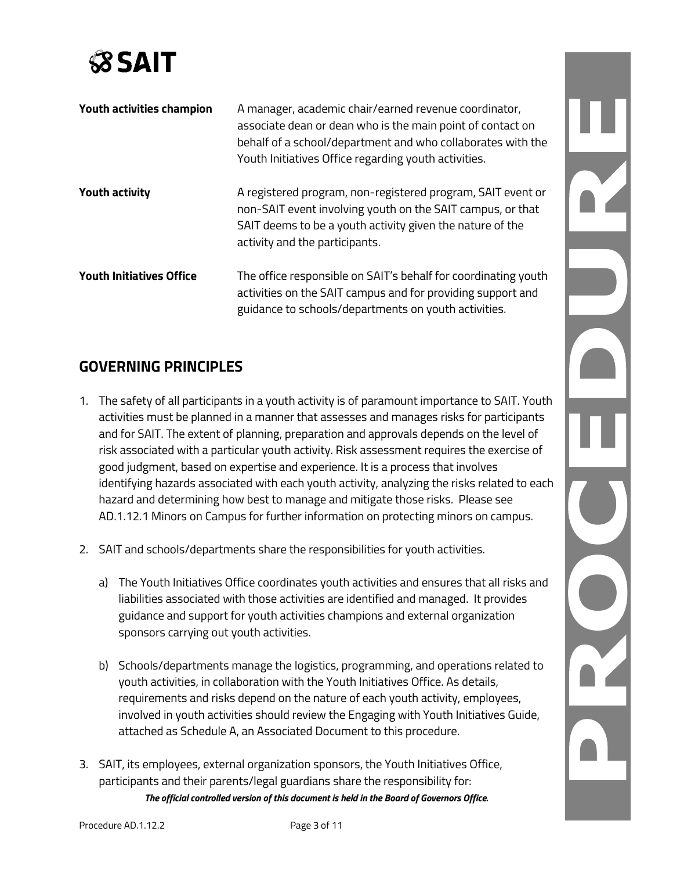

| Youth activities champion       | A manager, academic chair/earned revenue coordinator,<br>associate dean or dean who is the main point of contact on<br>behalf of a school/department and who collaborates with the<br>Youth Initiatives Office regarding youth activities. |
|---------------------------------|--------------------------------------------------------------------------------------------------------------------------------------------------------------------------------------------------------------------------------------------|
| <b>Youth activity</b>           | A registered program, non-registered program, SAIT event or<br>non-SAIT event involving youth on the SAIT campus, or that<br>SAIT deems to be a youth activity given the nature of the<br>activity and the participants.                   |
| <b>Youth Initiatives Office</b> | The office responsible on SAIT's behalf for coordinating youth<br>activities on the SAIT campus and for providing support and<br>guidance to schools/departments on youth activities.                                                      |

## **GOVERNING PRINCIPLES**

- 1. The safety of all participants in a youth activity is of paramount importance to SAIT. Youth activities must be planned in a manner that assesses and manages risks for participants and for SAIT. The extent of planning, preparation and approvals depends on the level of risk associated with a particular youth activity. Risk assessment requires the exercise of good judgment, based on expertise and experience. It is a process that involves identifying hazards associated with each youth activity, analyzing the risks related to each hazard and determining how best to manage and mitigate those risks. Please see AD.1.12.1 Minors on Campus for further information on protecting minors on campus.
- 2. SAIT and schools/departments share the responsibilities for youth activities.
	- a) The Youth Initiatives Office coordinates youth activities and ensures that all risks and liabilities associated with those activities are identified and managed. It provides guidance and support for youth activities champions and external organization sponsors carrying out youth activities.
	- b) Schools/departments manage the logistics, programming, and operations related to youth activities, in collaboration with the Youth Initiatives Office. As details, requirements and risks depend on the nature of each youth activity, employees, involved in youth activities should review the Engaging with Youth Initiatives Guide, attached as Schedule A, an Associated Document to this procedure.
- *The official controlled version of this document is held in the Board of Governors Office.* 3. SAIT, its employees, external organization sponsors, the Youth Initiatives Office, participants and their parents/legal guardians share the responsibility for: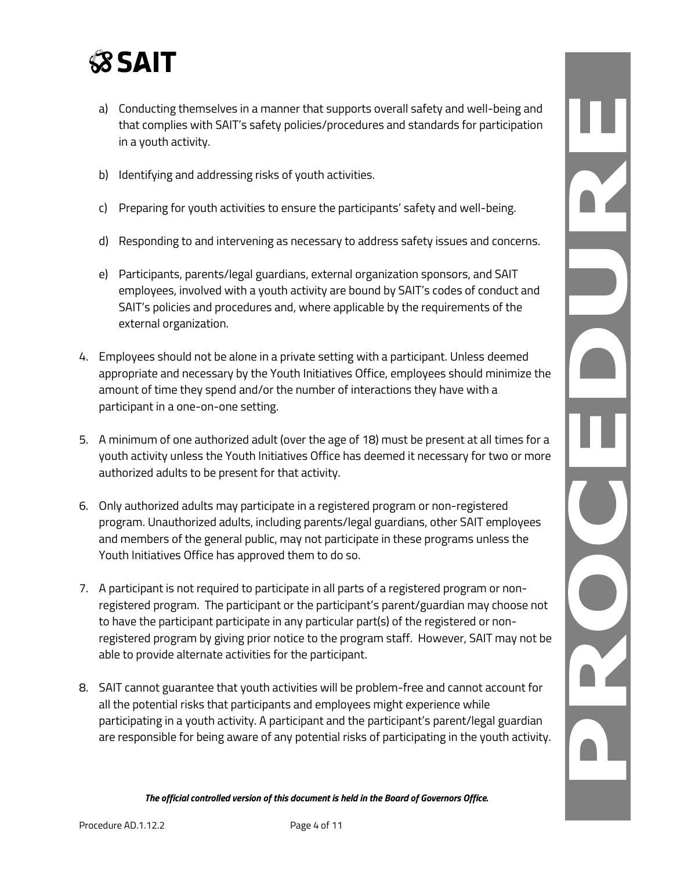- a) Conducting themselves in a manner that supports overall safety and well-being and that complies with SAIT's safety policies/procedures and standards for participation in a youth activity.
- b) Identifying and addressing risks of youth activities.
- c) Preparing for youth activities to ensure the participants' safety and well-being.
- d) Responding to and intervening as necessary to address safety issues and concerns.
- e) Participants, parents/legal guardians, external organization sponsors, and SAIT employees, involved with a youth activity are bound by SAIT's codes of conduct and SAIT's policies and procedures and, where applicable by the requirements of the external organization.
- 4. Employees should not be alone in a private setting with a participant. Unless deemed appropriate and necessary by the Youth Initiatives Office, employees should minimize the amount of time they spend and/or the number of interactions they have with a participant in a one-on-one setting.
- 5. A minimum of one authorized adult (over the age of 18) must be present at all times for a youth activity unless the Youth Initiatives Office has deemed it necessary for two or more authorized adults to be present for that activity.
- 6. Only authorized adults may participate in a registered program or non-registered program. Unauthorized adults, including parents/legal guardians, other SAIT employees and members of the general public, may not participate in these programs unless the Youth Initiatives Office has approved them to do so.
- 7. A participant is not required to participate in all parts of a registered program or nonregistered program. The participant or the participant's parent/guardian may choose not to have the participant participate in any particular part(s) of the registered or nonregistered program by giving prior notice to the program staff. However, SAIT may not be able to provide alternate activities for the participant.
- 8. SAIT cannot guarantee that youth activities will be problem-free and cannot account for all the potential risks that participants and employees might experience while participating in a youth activity. A participant and the participant's parent/legal guardian are responsible for being aware of any potential risks of participating in the youth activity.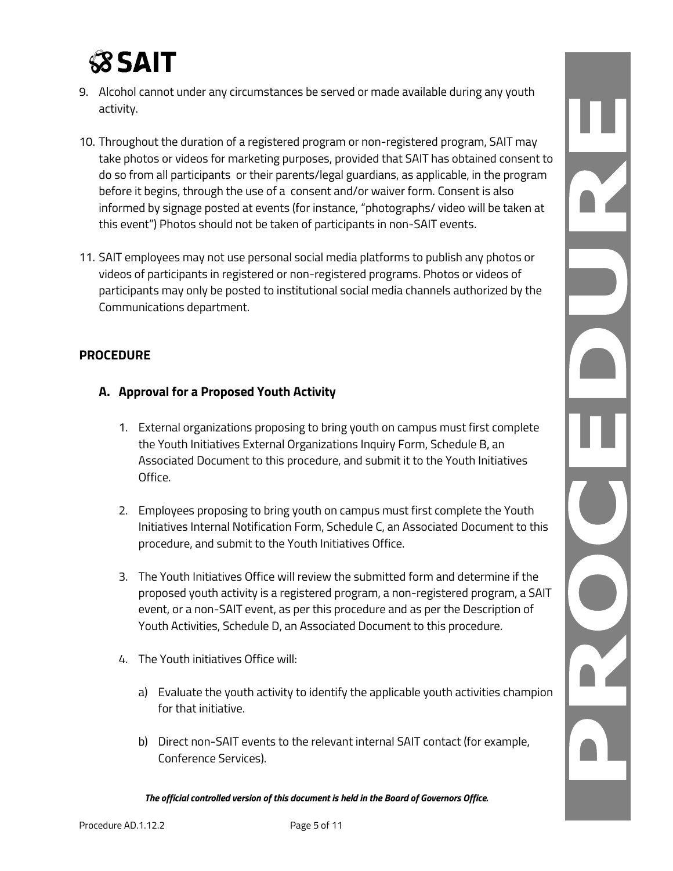- 9. Alcohol cannot under any circumstances be served or made available during any youth activity.
- 10. Throughout the duration of a registered program or non-registered program, SAIT may take photos or videos for marketing purposes, provided that SAIT has obtained consent to do so from all participants or their parents/legal guardians, as applicable, in the program before it begins, through the use of a consent and/or waiver form. Consent is also informed by signage posted at events (for instance, "photographs/ video will be taken at this event") Photos should not be taken of participants in non-SAIT events.
- 11. SAIT employees may not use personal social media platforms to publish any photos or videos of participants in registered or non-registered programs. Photos or videos of participants may only be posted to institutional social media channels authorized by the Communications department.

#### **PROCEDURE**

#### **A. Approval for a Proposed Youth Activity**

- 1. External organizations proposing to bring youth on campus must first complete the Youth Initiatives External Organizations Inquiry Form, Schedule B, an Associated Document to this procedure, and submit it to the Youth Initiatives Office.
- 2. Employees proposing to bring youth on campus must first complete the Youth Initiatives Internal Notification Form, Schedule C, an Associated Document to this procedure, and submit to the Youth Initiatives Office.
- 3. The Youth Initiatives Office will review the submitted form and determine if the proposed youth activity is a registered program, a non-registered program, a SAIT event, or a non-SAIT event, as per this procedure and as per the Description of Youth Activities, Schedule D, an Associated Document to this procedure.
- 4. The Youth initiatives Office will:
	- a) Evaluate the youth activity to identify the applicable youth activities champion for that initiative.
	- b) Direct non-SAIT events to the relevant internal SAIT contact (for example, Conference Services).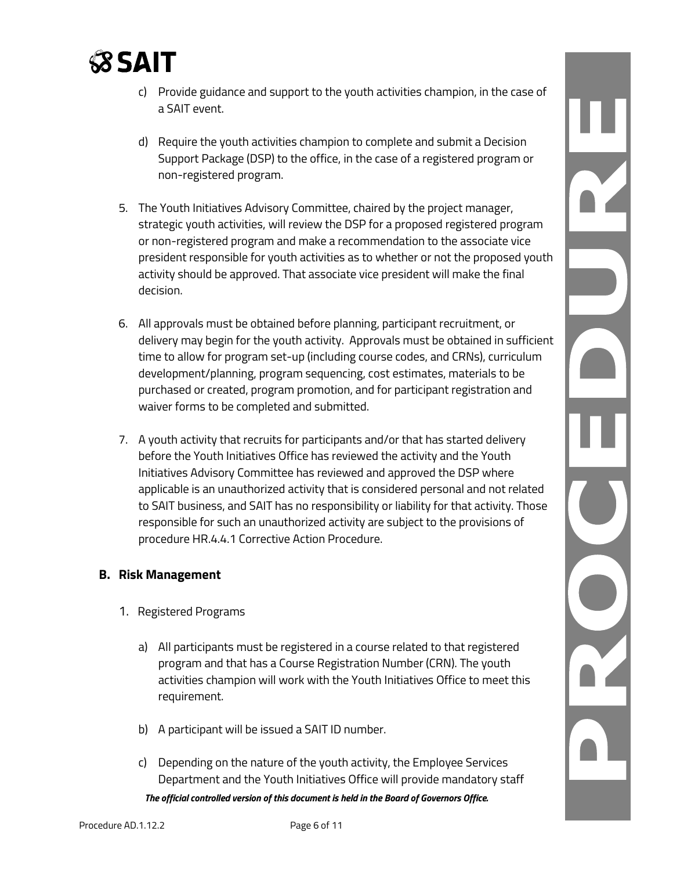

- c) Provide guidance and support to the youth activities champion, in the case of a SAIT event.
- d) Require the youth activities champion to complete and submit a Decision Support Package (DSP) to the office, in the case of a registered program or non-registered program.
- 5. The Youth Initiatives Advisory Committee, chaired by the project manager, strategic youth activities, will review the DSP for a proposed registered program or non-registered program and make a recommendation to the associate vice president responsible for youth activities as to whether or not the proposed youth activity should be approved. That associate vice president will make the final decision.
- 6. All approvals must be obtained before planning, participant recruitment, or delivery may begin for the youth activity. Approvals must be obtained in sufficient time to allow for program set-up (including course codes, and CRNs), curriculum development/planning, program sequencing, cost estimates, materials to be purchased or created, program promotion, and for participant registration and waiver forms to be completed and submitted.
- 7. A youth activity that recruits for participants and/or that has started delivery before the Youth Initiatives Office has reviewed the activity and the Youth Initiatives Advisory Committee has reviewed and approved the DSP where applicable is an unauthorized activity that is considered personal and not related to SAIT business, and SAIT has no responsibility or liability for that activity. Those responsible for such an unauthorized activity are subject to the provisions of procedure HR.4.4.1 Corrective Action Procedure.

#### **B. Risk Management**

- 1. Registered Programs
	- a) All participants must be registered in a course related to that registered program and that has a Course Registration Number (CRN). The youth activities champion will work with the Youth Initiatives Office to meet this requirement.
	- b) A participant will be issued a SAIT ID number.
	- *The official controlled version of this document is held in the Board of Governors Office.* c) Depending on the nature of the youth activity, the Employee Services Department and the Youth Initiatives Office will provide mandatory staff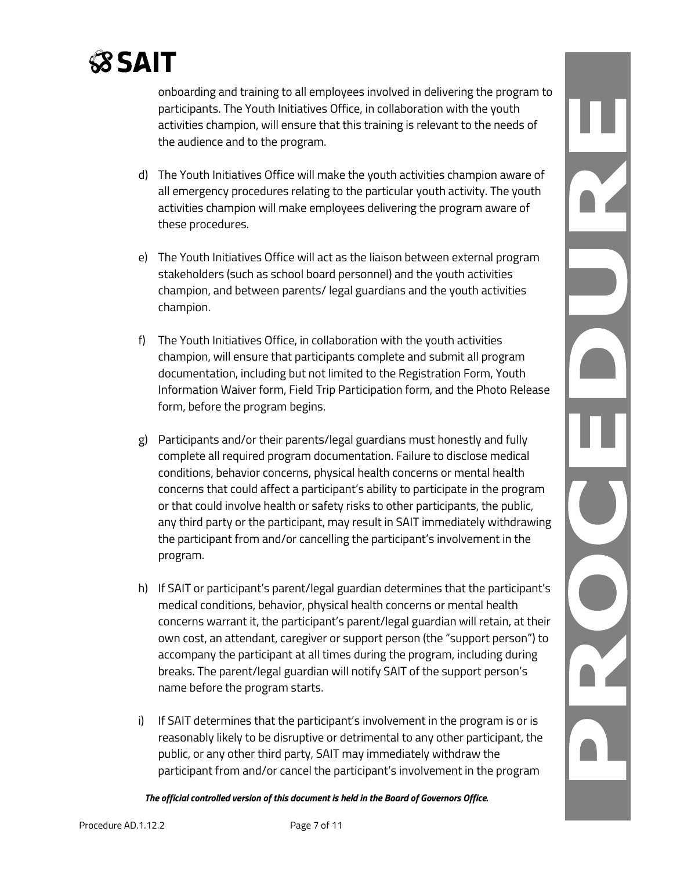onboarding and training to all employees involved in delivering the program to participants. The Youth Initiatives Office, in collaboration with the youth activities champion, will ensure that this training is relevant to the needs of the audience and to the program.

- d) The Youth Initiatives Office will make the youth activities champion aware of all emergency procedures relating to the particular youth activity. The youth activities champion will make employees delivering the program aware of these procedures.
- e) The Youth Initiatives Office will act as the liaison between external program stakeholders (such as school board personnel) and the youth activities champion, and between parents/ legal guardians and the youth activities champion.
- f) The Youth Initiatives Office, in collaboration with the youth activities champion, will ensure that participants complete and submit all program documentation, including but not limited to the Registration Form, Youth Information Waiver form, Field Trip Participation form, and the Photo Release form, before the program begins.
- g) Participants and/or their parents/legal guardians must honestly and fully complete all required program documentation. Failure to disclose medical conditions, behavior concerns, physical health concerns or mental health concerns that could affect a participant's ability to participate in the program or that could involve health or safety risks to other participants, the public, any third party or the participant, may result in SAIT immediately withdrawing the participant from and/or cancelling the participant's involvement in the program.
- h) If SAIT or participant's parent/legal guardian determines that the participant's medical conditions, behavior, physical health concerns or mental health concerns warrant it, the participant's parent/legal guardian will retain, at their own cost, an attendant, caregiver or support person (the "support person") to accompany the participant at all times during the program, including during breaks. The parent/legal guardian will notify SAIT of the support person's name before the program starts.
- i) If SAIT determines that the participant's involvement in the program is or is reasonably likely to be disruptive or detrimental to any other participant, the public, or any other third party, SAIT may immediately withdraw the participant from and/or cancel the participant's involvement in the program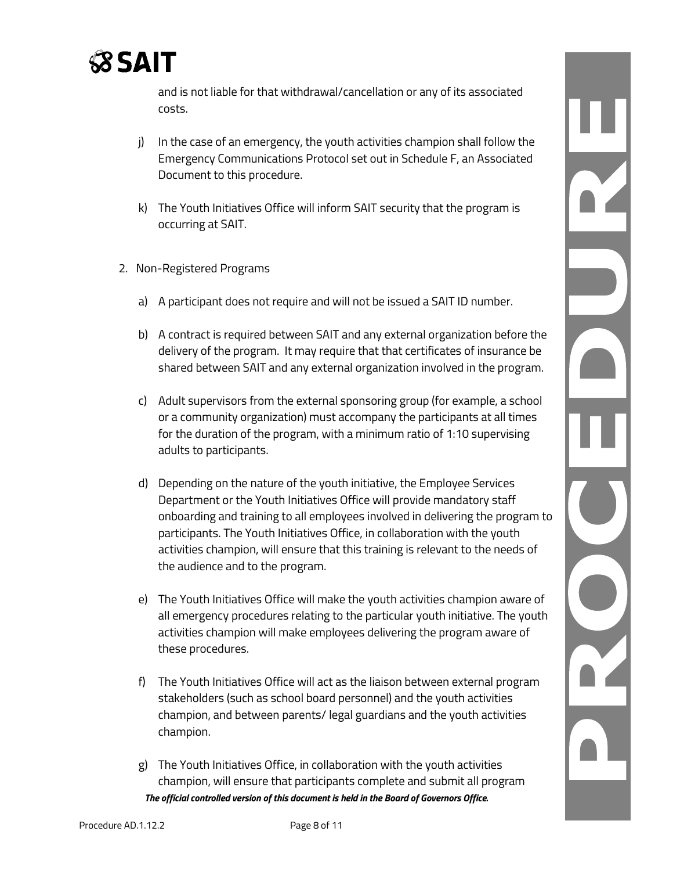

and is not liable for that withdrawal/cancellation or any of its associated costs.

- j) In the case of an emergency, the youth activities champion shall follow the Emergency Communications Protocol set out in Schedule F, an Associated Document to this procedure.
- k) The Youth Initiatives Office will inform SAIT security that the program is occurring at SAIT.
- 2. Non-Registered Programs
	- a) A participant does not require and will not be issued a SAIT ID number.
	- b) A contract is required between SAIT and any external organization before the delivery of the program. It may require that that certificates of insurance be shared between SAIT and any external organization involved in the program.
	- c) Adult supervisors from the external sponsoring group (for example, a school or a community organization) must accompany the participants at all times for the duration of the program, with a minimum ratio of 1:10 supervising adults to participants.
	- d) Depending on the nature of the youth initiative, the Employee Services Department or the Youth Initiatives Office will provide mandatory staff onboarding and training to all employees involved in delivering the program to participants. The Youth Initiatives Office, in collaboration with the youth activities champion, will ensure that this training is relevant to the needs of the audience and to the program.
	- e) The Youth Initiatives Office will make the youth activities champion aware of all emergency procedures relating to the particular youth initiative. The youth activities champion will make employees delivering the program aware of these procedures.
	- f) The Youth Initiatives Office will act as the liaison between external program stakeholders (such as school board personnel) and the youth activities champion, and between parents/ legal guardians and the youth activities champion.
	- *The official controlled version of this document is held in the Board of Governors Office.* g) The Youth Initiatives Office, in collaboration with the youth activities champion, will ensure that participants complete and submit all program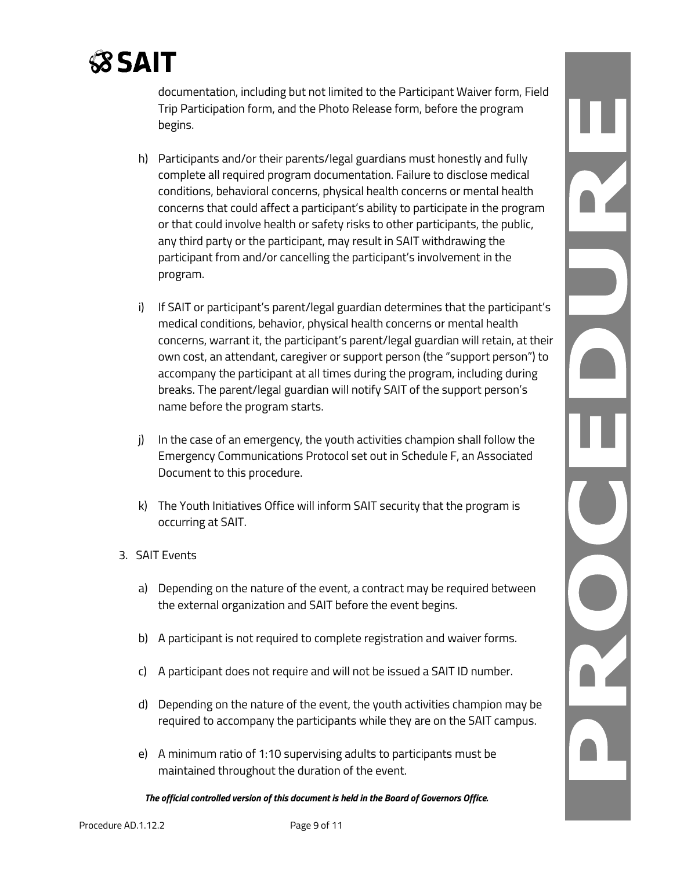documentation, including but not limited to the Participant Waiver form, Field Trip Participation form, and the Photo Release form, before the program begins.

- h) Participants and/or their parents/legal guardians must honestly and fully complete all required program documentation. Failure to disclose medical conditions, behavioral concerns, physical health concerns or mental health concerns that could affect a participant's ability to participate in the program or that could involve health or safety risks to other participants, the public, any third party or the participant, may result in SAIT withdrawing the participant from and/or cancelling the participant's involvement in the program.
- i) If SAIT or participant's parent/legal guardian determines that the participant's medical conditions, behavior, physical health concerns or mental health concerns, warrant it, the participant's parent/legal guardian will retain, at their own cost, an attendant, caregiver or support person (the "support person") to accompany the participant at all times during the program, including during breaks. The parent/legal guardian will notify SAIT of the support person's name before the program starts.
- j) In the case of an emergency, the youth activities champion shall follow the Emergency Communications Protocol set out in Schedule F, an Associated Document to this procedure.
- k) The Youth Initiatives Office will inform SAIT security that the program is occurring at SAIT.
- 3. SAIT Events
	- a) Depending on the nature of the event, a contract may be required between the external organization and SAIT before the event begins.
	- b) A participant is not required to complete registration and waiver forms.
	- c) A participant does not require and will not be issued a SAIT ID number.
	- d) Depending on the nature of the event, the youth activities champion may be required to accompany the participants while they are on the SAIT campus.
	- e) A minimum ratio of 1:10 supervising adults to participants must be maintained throughout the duration of the event.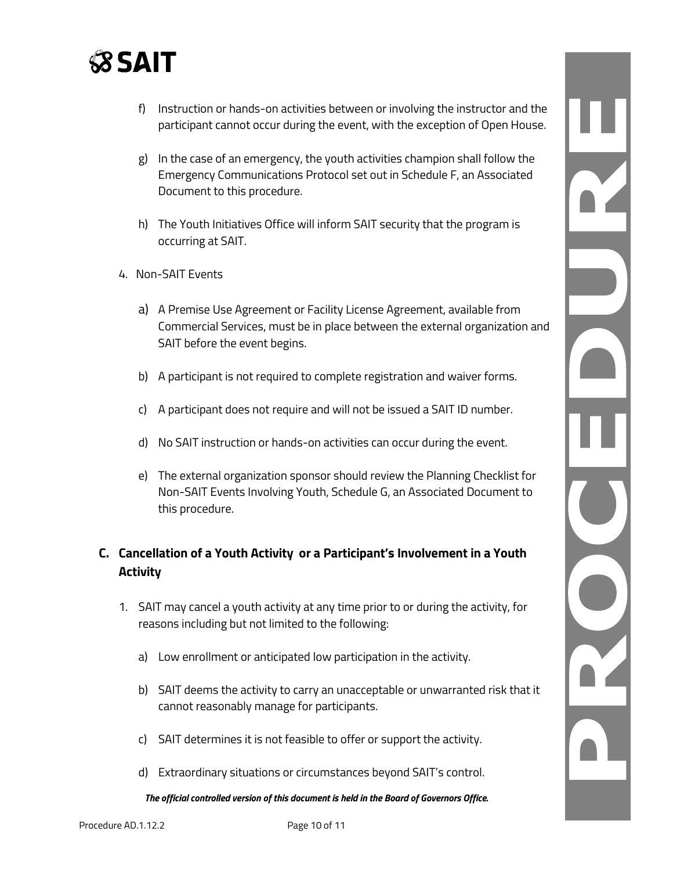

- f) Instruction or hands-on activities between or involving the instructor and the participant cannot occur during the event, with the exception of Open House.
- g) In the case of an emergency, the youth activities champion shall follow the Emergency Communications Protocol set out in Schedule F, an Associated Document to this procedure.
- h) The Youth Initiatives Office will inform SAIT security that the program is occurring at SAIT.
- 4. Non-SAIT Events
	- a) A Premise Use Agreement or Facility License Agreement, available from Commercial Services, must be in place between the external organization and SAIT before the event begins.
	- b) A participant is not required to complete registration and waiver forms.
	- c) A participant does not require and will not be issued a SAIT ID number.
	- d) No SAIT instruction or hands-on activities can occur during the event.
	- e) The external organization sponsor should review the Planning Checklist for Non-SAIT Events Involving Youth, Schedule G, an Associated Document to this procedure.

### **C. Cancellation of a Youth Activity or a Participant's Involvement in a Youth Activity**

- 1. SAIT may cancel a youth activity at any time prior to or during the activity, for reasons including but not limited to the following:
	- a) Low enrollment or anticipated low participation in the activity.
	- b) SAIT deems the activity to carry an unacceptable or unwarranted risk that it cannot reasonably manage for participants.
	- c) SAIT determines it is not feasible to offer or support the activity.
	- d) Extraordinary situations or circumstances beyond SAIT's control.